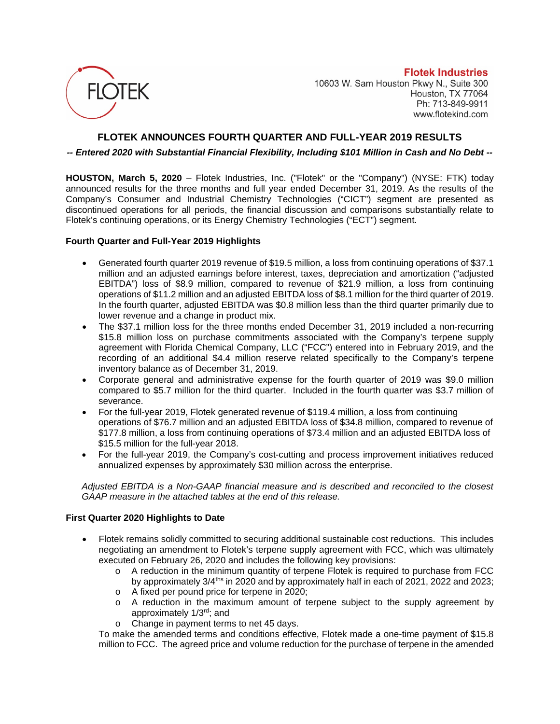

**Flotek Industries** 10603 W. Sam Houston Pkwy N., Suite 300 Houston, TX 77064 Ph: 713-849-9911 www.flotekind.com

# **FLOTEK ANNOUNCES FOURTH QUARTER AND FULL-YEAR 2019 RESULTS**

### *-- Entered 2020 with Substantial Financial Flexibility, Including \$101 Million in Cash and No Debt --*

**HOUSTON, March 5, 2020** – Flotek Industries, Inc. ("Flotek" or the "Company") (NYSE: FTK) today announced results for the three months and full year ended December 31, 2019. As the results of the Company's Consumer and Industrial Chemistry Technologies ("CICT") segment are presented as discontinued operations for all periods, the financial discussion and comparisons substantially relate to Flotek's continuing operations, or its Energy Chemistry Technologies ("ECT") segment.

### **Fourth Quarter and Full-Year 2019 Highlights**

- Generated fourth quarter 2019 revenue of \$19.5 million, a loss from continuing operations of \$37.1 million and an adjusted earnings before interest, taxes, depreciation and amortization ("adjusted EBITDA") loss of \$8.9 million, compared to revenue of \$21.9 million, a loss from continuing operations of \$11.2 million and an adjusted EBITDA loss of \$8.1 million for the third quarter of 2019. In the fourth quarter, adjusted EBITDA was \$0.8 million less than the third quarter primarily due to lower revenue and a change in product mix.
- The \$37.1 million loss for the three months ended December 31, 2019 included a non-recurring \$15.8 million loss on purchase commitments associated with the Company's terpene supply agreement with Florida Chemical Company, LLC ("FCC") entered into in February 2019, and the recording of an additional \$4.4 million reserve related specifically to the Company's terpene inventory balance as of December 31, 2019.
- Corporate general and administrative expense for the fourth quarter of 2019 was \$9.0 million compared to \$5.7 million for the third quarter. Included in the fourth quarter was \$3.7 million of severance.
- For the full-year 2019, Flotek generated revenue of \$119.4 million, a loss from continuing operations of \$76.7 million and an adjusted EBITDA loss of \$34.8 million, compared to revenue of \$177.8 million, a loss from continuing operations of \$73.4 million and an adjusted EBITDA loss of \$15.5 million for the full-year 2018.
- For the full-year 2019, the Company's cost-cutting and process improvement initiatives reduced annualized expenses by approximately \$30 million across the enterprise.

*Adjusted EBITDA is a Non-GAAP financial measure and is described and reconciled to the closest GAAP measure in the attached tables at the end of this release.*

## **First Quarter 2020 Highlights to Date**

- Flotek remains solidly committed to securing additional sustainable cost reductions. This includes negotiating an amendment to Flotek's terpene supply agreement with FCC, which was ultimately executed on February 26, 2020 and includes the following key provisions:
	- o A reduction in the minimum quantity of terpene Flotek is required to purchase from FCC by approximately 3/4<sup>ths</sup> in 2020 and by approximately half in each of 2021, 2022 and 2023;
	- o A fixed per pound price for terpene in 2020;
	- o A reduction in the maximum amount of terpene subject to the supply agreement by approximately 1/3rd; and
	- o Change in payment terms to net 45 days.

To make the amended terms and conditions effective, Flotek made a one-time payment of \$15.8 million to FCC. The agreed price and volume reduction for the purchase of terpene in the amended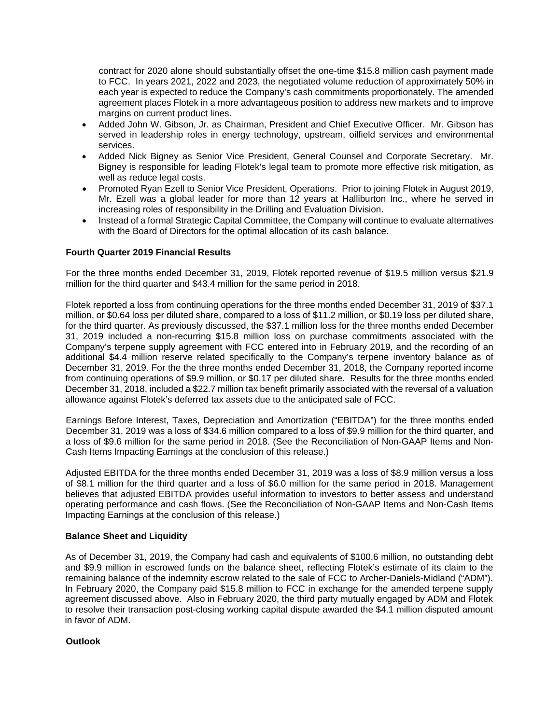contract for 2020 alone should substantially offset the one-time \$15.8 million cash payment made to FCC. In years 2021, 2022 and 2023, the negotiated volume reduction of approximately 50% in each year is expected to reduce the Company's cash commitments proportionately. The amended agreement places Flotek in a more advantageous position to address new markets and to improve margins on current product lines.

- Added John W. Gibson, Jr. as Chairman, President and Chief Executive Officer. Mr. Gibson has served in leadership roles in energy technology, upstream, oilfield services and environmental services.
- Added Nick Bigney as Senior Vice President, General Counsel and Corporate Secretary. Mr. Bigney is responsible for leading Flotek's legal team to promote more effective risk mitigation, as well as reduce legal costs.
- Promoted Ryan Ezell to Senior Vice President, Operations. Prior to joining Flotek in August 2019, Mr. Ezell was a global leader for more than 12 years at Halliburton Inc., where he served in increasing roles of responsibility in the Drilling and Evaluation Division.
- Instead of a formal Strategic Capital Committee, the Company will continue to evaluate alternatives with the Board of Directors for the optimal allocation of its cash balance.

### **Fourth Quarter 2019 Financial Results**

For the three months ended December 31, 2019, Flotek reported revenue of \$19.5 million versus \$21.9 million for the third quarter and \$43.4 million for the same period in 2018.

Flotek reported a loss from continuing operations for the three months ended December 31, 2019 of \$37.1 million, or \$0.64 loss per diluted share, compared to a loss of \$11.2 million, or \$0.19 loss per diluted share, for the third quarter. As previously discussed, the \$37.1 million loss for the three months ended December 31, 2019 included a non-recurring \$15.8 million loss on purchase commitments associated with the Company's terpene supply agreement with FCC entered into in February 2019, and the recording of an additional \$4.4 million reserve related specifically to the Company's terpene inventory balance as of December 31, 2019. For the the three months ended December 31, 2018, the Company reported income from continuing operations of \$9.9 million, or \$0.17 per diluted share. Results for the three months ended December 31, 2018, included a \$22.7 million tax benefit primarily associated with the reversal of a valuation allowance against Flotek's deferred tax assets due to the anticipated sale of FCC.

Earnings Before Interest, Taxes, Depreciation and Amortization ("EBITDA") for the three months ended December 31, 2019 was a loss of \$34.6 million compared to a loss of \$9.9 million for the third quarter, and a loss of \$9.6 million for the same period in 2018. (See the Reconciliation of Non-GAAP Items and Non-Cash Items Impacting Earnings at the conclusion of this release.)

Adjusted EBITDA for the three months ended December 31, 2019 was a loss of \$8.9 million versus a loss of \$8.1 million for the third quarter and a loss of \$6.0 million for the same period in 2018. Management believes that adjusted EBITDA provides useful information to investors to better assess and understand operating performance and cash flows. (See the Reconciliation of Non-GAAP Items and Non-Cash Items Impacting Earnings at the conclusion of this release.)

#### **Balance Sheet and Liquidity**

As of December 31, 2019, the Company had cash and equivalents of \$100.6 million, no outstanding debt and \$9.9 million in escrowed funds on the balance sheet, reflecting Flotek's estimate of its claim to the remaining balance of the indemnity escrow related to the sale of FCC to Archer-Daniels-Midland ("ADM"). In February 2020, the Company paid \$15.8 million to FCC in exchange for the amended terpene supply agreement discussed above. Also in February 2020, the third party mutually engaged by ADM and Flotek to resolve their transaction post-closing working capital dispute awarded the \$4.1 million disputed amount in favor of ADM.

### **Outlook**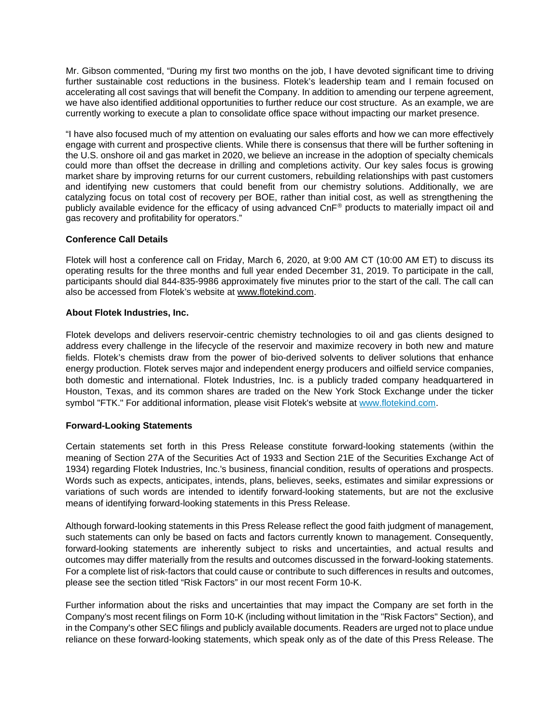Mr. Gibson commented, "During my first two months on the job, I have devoted significant time to driving further sustainable cost reductions in the business. Flotek's leadership team and I remain focused on accelerating all cost savings that will benefit the Company. In addition to amending our terpene agreement, we have also identified additional opportunities to further reduce our cost structure. As an example, we are currently working to execute a plan to consolidate office space without impacting our market presence.

"I have also focused much of my attention on evaluating our sales efforts and how we can more effectively engage with current and prospective clients. While there is consensus that there will be further softening in the U.S. onshore oil and gas market in 2020, we believe an increase in the adoption of specialty chemicals could more than offset the decrease in drilling and completions activity. Our key sales focus is growing market share by improving returns for our current customers, rebuilding relationships with past customers and identifying new customers that could benefit from our chemistry solutions. Additionally, we are catalyzing focus on total cost of recovery per BOE, rather than initial cost, as well as strengthening the publicly available evidence for the efficacy of using advanced CnF® products to materially impact oil and gas recovery and profitability for operators."

### **Conference Call Details**

Flotek will host a conference call on Friday, March 6, 2020, at 9:00 AM CT (10:00 AM ET) to discuss its operating results for the three months and full year ended December 31, 2019. To participate in the call, participants should dial 844-835-9986 approximately five minutes prior to the start of the call. The call can also be accessed from Flotek's website at [www.flotekind.com.](http://www.flotekind.com/)

#### **About Flotek Industries, Inc.**

Flotek develops and delivers reservoir-centric chemistry technologies to oil and gas clients designed to address every challenge in the lifecycle of the reservoir and maximize recovery in both new and mature fields. Flotek's chemists draw from the power of bio-derived solvents to deliver solutions that enhance energy production. Flotek serves major and independent energy producers and oilfield service companies, both domestic and international. Flotek Industries, Inc. is a publicly traded company headquartered in Houston, Texas, and its common shares are traded on the New York Stock Exchange under the ticker symbol "FTK." For additional information, please visit Flotek's website at [www.flotekind.com.](http://www.flotekind.com/)

## **Forward-Looking Statements**

Certain statements set forth in this Press Release constitute forward-looking statements (within the meaning of Section 27A of the Securities Act of 1933 and Section 21E of the Securities Exchange Act of 1934) regarding Flotek Industries, Inc.'s business, financial condition, results of operations and prospects. Words such as expects, anticipates, intends, plans, believes, seeks, estimates and similar expressions or variations of such words are intended to identify forward-looking statements, but are not the exclusive means of identifying forward-looking statements in this Press Release.

Although forward-looking statements in this Press Release reflect the good faith judgment of management, such statements can only be based on facts and factors currently known to management. Consequently, forward-looking statements are inherently subject to risks and uncertainties, and actual results and outcomes may differ materially from the results and outcomes discussed in the forward-looking statements. For a complete list of risk-factors that could cause or contribute to such differences in results and outcomes, please see the section titled "Risk Factors" in our most recent Form 10-K.

Further information about the risks and uncertainties that may impact the Company are set forth in the Company's most recent filings on Form 10-K (including without limitation in the "Risk Factors" Section), and in the Company's other SEC filings and publicly available documents. Readers are urged not to place undue reliance on these forward-looking statements, which speak only as of the date of this Press Release. The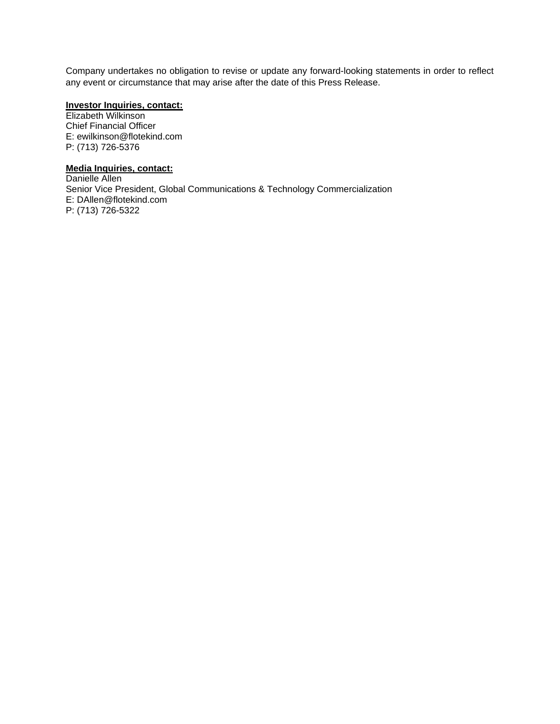Company undertakes no obligation to revise or update any forward-looking statements in order to reflect any event or circumstance that may arise after the date of this Press Release.

## **Investor Inquiries, contact:**

Elizabeth Wilkinson Chief Financial Officer E: ewilkinson@flotekind.com P: (713) 726-5376

# **Media Inquiries, contact:**

Danielle Allen Senior Vice President, Global Communications & Technology Commercialization E: DAllen@flotekind.com P: (713) 726-5322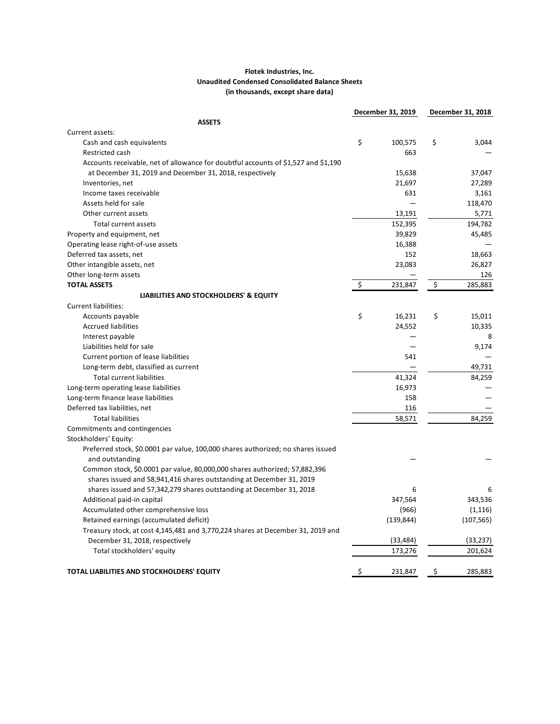#### **Flotek Industries, Inc. Unaudited Condensed Consolidated Balance Sheets (in thousands, except share data)**

|                                                                                    | December 31, 2019 | December 31, 2018 |
|------------------------------------------------------------------------------------|-------------------|-------------------|
| <b>ASSETS</b>                                                                      |                   |                   |
| Current assets:                                                                    |                   |                   |
| Cash and cash equivalents                                                          | \$<br>100,575     | \$<br>3,044       |
| Restricted cash                                                                    | 663               |                   |
| Accounts receivable, net of allowance for doubtful accounts of \$1,527 and \$1,190 |                   |                   |
| at December 31, 2019 and December 31, 2018, respectively                           | 15,638            | 37,047            |
| Inventories, net                                                                   | 21,697            | 27,289            |
| Income taxes receivable                                                            | 631               | 3,161             |
| Assets held for sale                                                               |                   | 118,470           |
| Other current assets                                                               | 13,191            | 5,771             |
| Total current assets                                                               | 152,395           | 194,782           |
| Property and equipment, net                                                        | 39,829            | 45,485            |
| Operating lease right-of-use assets                                                | 16,388            |                   |
| Deferred tax assets, net                                                           | 152               | 18,663            |
| Other intangible assets, net                                                       | 23,083            | 26,827            |
| Other long-term assets                                                             |                   | 126               |
| <b>TOTAL ASSETS</b>                                                                | \$<br>231,847     | \$<br>285,883     |
| LIABILITIES AND STOCKHOLDERS' & EQUITY                                             |                   |                   |
| <b>Current liabilities:</b>                                                        |                   |                   |
| Accounts payable                                                                   | \$<br>16,231      | \$<br>15,011      |
| <b>Accrued liabilities</b>                                                         | 24,552            | 10,335            |
| Interest payable                                                                   |                   | 8                 |
| Liabilities held for sale                                                          |                   | 9,174             |
| Current portion of lease liabilities                                               | 541               |                   |
| Long-term debt, classified as current                                              |                   | 49,731            |
| Total current liabilities                                                          | 41,324            | 84.259            |
| Long-term operating lease liabilities                                              | 16,973            |                   |
| Long-term finance lease liabilities                                                | 158               |                   |
| Deferred tax liabilities, net                                                      | 116               |                   |
| <b>Total liabilities</b>                                                           | 58,571            | 84,259            |
| Commitments and contingencies                                                      |                   |                   |
| Stockholders' Equity:                                                              |                   |                   |
| Preferred stock, \$0.0001 par value, 100,000 shares authorized; no shares issued   |                   |                   |
| and outstanding                                                                    |                   |                   |
| Common stock, \$0.0001 par value, 80,000,000 shares authorized; 57,882,396         |                   |                   |
| shares issued and 58,941,416 shares outstanding at December 31, 2019               |                   |                   |
| shares issued and 57,342,279 shares outstanding at December 31, 2018               | 6                 | 6                 |
| Additional paid-in capital                                                         | 347,564           | 343,536           |
| Accumulated other comprehensive loss                                               | (966)             | (1, 116)          |
| Retained earnings (accumulated deficit)                                            | (139, 844)        | (107, 565)        |
| Treasury stock, at cost 4,145,481 and 3,770,224 shares at December 31, 2019 and    |                   |                   |
| December 31, 2018, respectively                                                    | (33, 484)         | (33, 237)         |
| Total stockholders' equity                                                         | 173,276           | 201,624           |
|                                                                                    |                   |                   |
| TOTAL LIABILITIES AND STOCKHOLDERS' EQUITY                                         | \$<br>231,847     | \$<br>285,883     |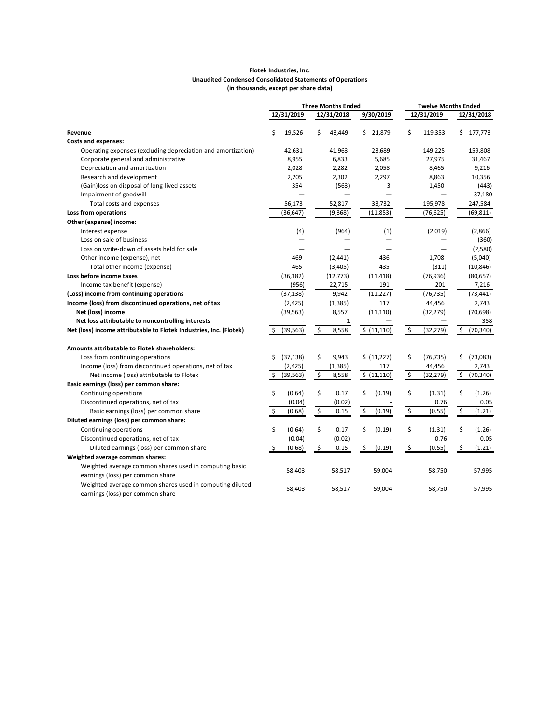#### **Flotek Industries, Inc. Unaudited Condensed Consolidated Statements of Operations (in thousands, except per share data)**

|                                                                                              | <b>Three Months Ended</b> |                                   |                          | <b>Twelve Months Ended</b>        |                 |  |
|----------------------------------------------------------------------------------------------|---------------------------|-----------------------------------|--------------------------|-----------------------------------|-----------------|--|
|                                                                                              | 12/31/2019                | 12/31/2018                        | 9/30/2019                | 12/31/2019                        | 12/31/2018      |  |
|                                                                                              |                           |                                   |                          |                                   |                 |  |
| Revenue                                                                                      | Ś<br>19,526               | Ś.<br>43.449                      | \$21,879                 | Ś<br>119,353                      | Ś.<br>177,773   |  |
| Costs and expenses:                                                                          |                           |                                   |                          |                                   |                 |  |
| Operating expenses (excluding depreciation and amortization)                                 | 42,631                    | 41,963                            | 23,689                   | 149,225                           | 159,808         |  |
| Corporate general and administrative                                                         | 8,955                     | 6,833                             | 5,685                    | 27,975                            | 31,467          |  |
| Depreciation and amortization                                                                | 2,028                     | 2,282                             | 2,058                    | 8,465                             | 9,216           |  |
| Research and development                                                                     | 2,205                     | 2,302                             | 2,297                    | 8,863                             | 10,356          |  |
| (Gain) loss on disposal of long-lived assets                                                 | 354                       | (563)                             | 3                        | 1,450                             | (443)           |  |
| Impairment of goodwill                                                                       |                           |                                   |                          |                                   | 37,180          |  |
| Total costs and expenses                                                                     | 56,173                    | 52,817                            | 33,732                   | 195,978                           | 247,584         |  |
| Loss from operations                                                                         | (36, 647)                 | (9,368)                           | (11, 853)                | (76, 625)                         | (69, 811)       |  |
| Other (expense) income:                                                                      |                           |                                   |                          |                                   |                 |  |
| Interest expense                                                                             | (4)                       | (964)                             | (1)                      | (2,019)                           | (2,866)         |  |
| Loss on sale of business                                                                     |                           |                                   | $\overline{\phantom{0}}$ |                                   | (360)           |  |
| Loss on write-down of assets held for sale                                                   |                           |                                   |                          |                                   | (2,580)         |  |
| Other income (expense), net                                                                  | 469                       | (2, 441)                          | 436                      | 1,708                             | (5,040)         |  |
| Total other income (expense)                                                                 | 465                       | (3,405)                           | 435                      | (311)                             | (10, 846)       |  |
| Loss before income taxes                                                                     | (36, 182)                 | (12, 773)                         | (11, 418)                | (76, 936)                         | (80, 657)       |  |
| Income tax benefit (expense)                                                                 | (956)                     | 22,715                            | 191                      | 201                               | 7,216           |  |
| (Loss) income from continuing operations                                                     | (37, 138)                 | 9,942                             | (11, 227)                | (76, 735)                         | (73, 441)       |  |
| Income (loss) from discontinued operations, net of tax                                       | (2,425)                   | (1, 385)                          | 117                      | 44,456                            | 2,743           |  |
| Net (loss) income                                                                            | (39, 563)                 | 8,557                             | (11, 110)                | (32, 279)                         | (70, 698)       |  |
| Net loss attributable to noncontrolling interests                                            |                           | 1                                 |                          |                                   | 358             |  |
| Net (loss) income attributable to Flotek Industries, Inc. (Flotek)                           | (39, 563)<br>Ŝ            | $\boldsymbol{\xi}$<br>8,558       | \$ (11,110)              | $\boldsymbol{\zeta}$<br>(32, 279) | \$<br>(70, 340) |  |
| <b>Amounts attributable to Flotek shareholders:</b>                                          |                           |                                   |                          |                                   |                 |  |
| Loss from continuing operations                                                              | (37, 138)<br>\$           | \$<br>9,943                       | \$ (11,227)              | \$<br>(76, 735)                   | \$<br>(73,083)  |  |
| Income (loss) from discontinued operations, net of tax                                       | (2,425)                   | (1, 385)                          | 117                      | 44,456                            | 2,743           |  |
| Net income (loss) attributable to Flotek                                                     | (39,563)                  | \$<br>8,558                       | \$ (11,110)              | \$<br>(32,279)                    | \$<br>(70,340)  |  |
| Basic earnings (loss) per common share:                                                      |                           |                                   |                          |                                   |                 |  |
| Continuing operations                                                                        | \$<br>(0.64)              | \$<br>0.17                        | \$<br>(0.19)             | \$<br>(1.31)                      | \$<br>(1.26)    |  |
| Discontinued operations, net of tax                                                          | (0.04)                    | (0.02)                            |                          | 0.76                              | 0.05            |  |
| Basic earnings (loss) per common share                                                       | \$<br>(0.68)              | $\varsigma$<br>0.15               | \$<br>(0.19)             | \$<br>(0.55)                      | \$<br>(1.21)    |  |
| Diluted earnings (loss) per common share:                                                    |                           |                                   |                          |                                   |                 |  |
| Continuing operations                                                                        | \$<br>(0.64)              | \$<br>0.17                        | \$<br>(0.19)             | \$<br>(1.31)                      | \$<br>(1.26)    |  |
| Discontinued operations, net of tax                                                          | (0.04)                    | (0.02)                            |                          | 0.76                              | 0.05            |  |
| Diluted earnings (loss) per common share                                                     | \$<br>(0.68)              | $\boldsymbol{\mathsf{S}}$<br>0.15 | \$<br>(0.19)             | $\boldsymbol{\zeta}$<br>(0.55)    | \$<br>(1.21)    |  |
| Weighted average common shares:                                                              |                           |                                   |                          |                                   |                 |  |
| Weighted average common shares used in computing basic                                       |                           |                                   |                          |                                   |                 |  |
| earnings (loss) per common share                                                             | 58,403                    | 58,517                            | 59,004                   | 58,750                            | 57,995          |  |
| Weighted average common shares used in computing diluted<br>earnings (loss) per common share | 58,403                    | 58,517                            | 59,004                   | 58,750                            | 57,995          |  |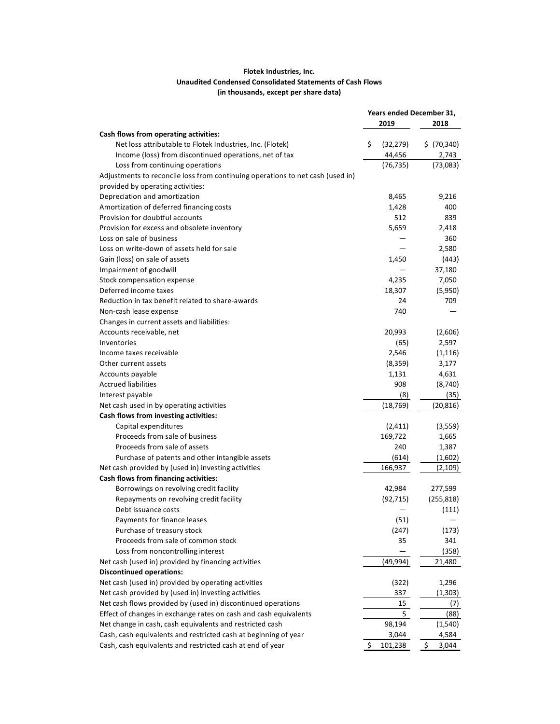#### **Flotek Industries, Inc. Unaudited Condensed Consolidated Statements of Cash Flows (in thousands, except per share data)**

|                                                                                | Years ended December 31, |           |             |
|--------------------------------------------------------------------------------|--------------------------|-----------|-------------|
|                                                                                |                          | 2019      | 2018        |
| Cash flows from operating activities:                                          |                          |           |             |
| Net loss attributable to Flotek Industries, Inc. (Flotek)                      | \$                       | (32, 279) | \$ (70,340) |
| Income (loss) from discontinued operations, net of tax                         |                          | 44,456    | 2,743       |
| Loss from continuing operations                                                |                          | (76, 735) | (73,083)    |
| Adjustments to reconcile loss from continuing operations to net cash (used in) |                          |           |             |
| provided by operating activities:                                              |                          |           |             |
| Depreciation and amortization                                                  |                          | 8,465     | 9,216       |
| Amortization of deferred financing costs                                       |                          | 1,428     | 400         |
| Provision for doubtful accounts                                                |                          | 512       | 839         |
| Provision for excess and obsolete inventory                                    |                          | 5,659     | 2,418       |
| Loss on sale of business                                                       |                          |           | 360         |
| Loss on write-down of assets held for sale                                     |                          |           | 2,580       |
| Gain (loss) on sale of assets                                                  |                          | 1,450     | (443)       |
| Impairment of goodwill                                                         |                          |           | 37,180      |
| Stock compensation expense                                                     |                          | 4,235     | 7,050       |
| Deferred income taxes                                                          |                          | 18,307    | (5,950)     |
| Reduction in tax benefit related to share-awards                               |                          | 24        | 709         |
| Non-cash lease expense                                                         |                          | 740       |             |
| Changes in current assets and liabilities:                                     |                          |           |             |
| Accounts receivable, net                                                       |                          | 20,993    | (2,606)     |
| Inventories                                                                    |                          | (65)      | 2,597       |
| Income taxes receivable                                                        |                          | 2,546     | (1, 116)    |
| Other current assets                                                           |                          | (8,359)   | 3,177       |
| Accounts payable                                                               |                          | 1,131     | 4,631       |
| <b>Accrued liabilities</b>                                                     |                          | 908       | (8, 740)    |
| Interest payable                                                               |                          | (8)       | (35)        |
| Net cash used in by operating activities                                       |                          | (18, 769) | (20, 816)   |
| Cash flows from investing activities:                                          |                          |           |             |
| Capital expenditures                                                           |                          | (2, 411)  | (3,559)     |
| Proceeds from sale of business                                                 |                          | 169,722   | 1,665       |
| Proceeds from sale of assets                                                   |                          | 240       | 1,387       |
| Purchase of patents and other intangible assets                                |                          | (614)     | (1,602)     |
| Net cash provided by (used in) investing activities                            |                          | 166,937   | (2,109)     |
| Cash flows from financing activities:                                          |                          |           |             |
| Borrowings on revolving credit facility                                        |                          | 42,984    | 277,599     |
| Repayments on revolving credit facility                                        |                          | (92, 715) | (255, 818)  |
| Debt issuance costs                                                            |                          |           | (111)       |
| Payments for finance leases                                                    |                          | (51)      |             |
| Purchase of treasury stock                                                     |                          | (247)     | (173)       |
| Proceeds from sale of common stock                                             |                          | 35        | 341         |
| Loss from noncontrolling interest                                              |                          |           | (358)       |
| Net cash (used in) provided by financing activities                            |                          | (49,994)  | 21,480      |
| <b>Discontinued operations:</b>                                                |                          |           |             |
| Net cash (used in) provided by operating activities                            |                          | (322)     | 1,296       |
| Net cash provided by (used in) investing activities                            |                          | 337       |             |
| Net cash flows provided by (used in) discontinued operations                   |                          | 15        | (1, 303)    |
| Effect of changes in exchange rates on cash and cash equivalents               |                          | 5         | (7)<br>(88) |
| Net change in cash, cash equivalents and restricted cash                       |                          | 98,194    | (1, 540)    |
| Cash, cash equivalents and restricted cash at beginning of year                |                          | 3,044     | 4,584       |
| Cash, cash equivalents and restricted cash at end of year                      | \$                       | 101,238   | \$<br>3,044 |
|                                                                                |                          |           |             |